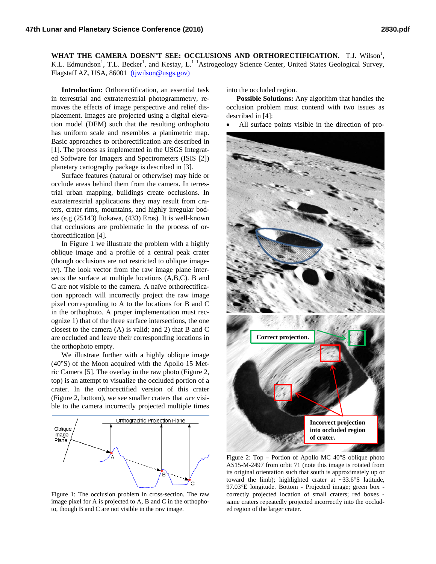WHAT THE CAMERA DOESN'T SEE: OCCLUSIONS AND ORTHORECTIFICATION. T.J. Wilson<sup>1</sup>, K.L. Edmundson<sup>1</sup>, T.L. Becker<sup>1</sup>, and Kestay, L.<sup>11</sup> Astrogeology Science Center, United States Geological Survey, Flagstaff AZ, USA, 86001 [\(tjwilson@usgs.gov\)](mailto:tjwilson@usgs.gov)

**Introduction:** Orthorectification, an essential task in terrestrial and extraterrestrial photogrammetry, removes the effects of image perspective and relief displacement. Images are projected using a digital elevation model (DEM) such that the resulting orthophoto has uniform scale and resembles a planimetric map. Basic approaches to orthorectification are described in [1]. The process as implemented in the USGS Integrated Software for Imagers and Spectrometers (ISIS [2]) planetary cartography package is described in [3].

Surface features (natural or otherwise) may hide or occlude areas behind them from the camera. In terrestrial urban mapping, buildings create occlusions. In extraterrestrial applications they may result from craters, crater rims, mountains, and highly irregular bodies (e.g (25143) Itokawa, (433) Eros). It is well-known that occlusions are problematic in the process of orthorectification [4].

In [Figure 1](#page-0-0) we illustrate the problem with a highly oblique image and a profile of a central peak crater (though occlusions are not restricted to oblique imagery). The look vector from the raw image plane intersects the surface at multiple locations (A,B,C). B and C are not visible to the camera. A naïve orthorectification approach will incorrectly project the raw image pixel corresponding to A to the locations for B and C in the orthophoto. A proper implementation must recognize 1) that of the three surface intersections, the one closest to the camera (A) is valid; and 2) that B and C are occluded and leave their corresponding locations in the orthophoto empty.

We illustrate further with a highly oblique image (40°S) of the Moon acquired with the Apollo 15 Metric Camera [5]. The overlay in the raw photo [\(Figure 2,](#page-0-1)  top) is an attempt to visualize the occluded portion of a crater. In the orthorectified version of this crater [\(Figure 2,](#page-0-1) bottom), we see smaller craters that *are* visible to the camera incorrectly projected multiple times

<span id="page-0-1"></span>

<span id="page-0-0"></span>Figure 1: The occlusion problem in cross-section. The raw image pixel for A is projected to A, B and C in the orthophoto, though B and C are not visible in the raw image.

into the occluded region.

**Possible Solutions:** Any algorithm that handles the occlusion problem must contend with two issues as described in [4]:

All surface points visible in the direction of pro-



Figure 2: Top – Portion of Apollo MC 40°S oblique photo AS15-M-2497 from orbit 71 (note this image is rotated from its original orientation such that south is approximately up or toward the limb); highlighted crater at ~33.6°S latitude, 97.03°E longitude. Bottom - Projected image; green box correctly projected location of small craters; red boxes same craters repeatedly projected incorrectly into the occluded region of the larger crater.